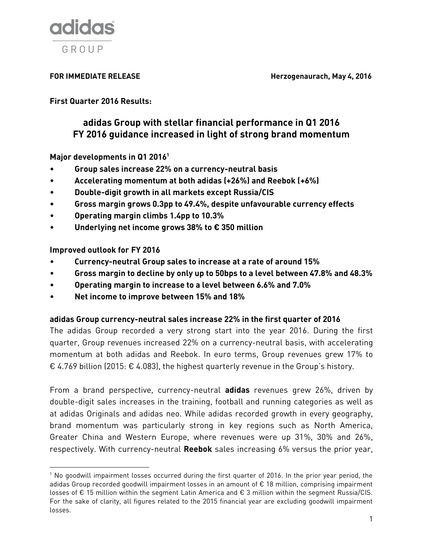

FOR IMMEDIATE RELEASE **Herzogenaurach, May 4, 2016** 

**First Quarter 2016 Results:**

# **adidas Group with stellar financial performance in Q1 2016 FY 2016 guidance increased in light of strong brand momentum**

**Major developments in Q1 2016 1**

- **Group sales increase 22% on a currency-neutral basis**
- **Accelerating momentum at both adidas (+26%) and Reebok (+6%)**
- **Double-digit growth in all markets except Russia/CIS**
- **Gross margin grows 0.3pp to 49.4%, despite unfavourable currency effects**
- **Operating margin climbs 1.4pp to 10.3%**
- **Underlying net income grows 38% to € 350 million**

**Improved outlook for FY 2016**

 $\overline{\phantom{a}}$ 

- **Currency-neutral Group sales to increase at a rate of around 15%**
- **Gross margin to decline by only up to 50bps to a level between 47.8% and 48.3%**
- **Operating margin to increase to a level between 6.6% and 7.0%**
- **Net income to improve between 15% and 18%**

### **adidas Group currency-neutral sales increase 22% in the first quarter of 2016**

The adidas Group recorded a very strong start into the year 2016. During the first quarter, Group revenues increased 22% on a currency-neutral basis, with accelerating momentum at both adidas and Reebok. In euro terms, Group revenues grew 17% to € 4.769 billion (2015: € 4.083), the highest quarterly revenue in the Group's history.

From a brand perspective, currency-neutral **adidas** revenues grew 26%, driven by double-digit sales increases in the training, football and running categories as well as at adidas Originals and adidas neo. While adidas recorded growth in every geography, brand momentum was particularly strong in key regions such as North America, Greater China and Western Europe, where revenues were up 31%, 30% and 26%, respectively. With currency-neutral **Reebok** sales increasing 6% versus the prior year,

 $1$  No goodwill impairment losses occurred during the first quarter of 2016. In the prior year period, the adidas Group recorded goodwill impairment losses in an amount of € 18 million, comprising impairment losses of € 15 million within the segment Latin America and € 3 million within the segment Russia/CIS. For the sake of clarity, all figures related to the 2015 financial year are excluding goodwill impairment losses.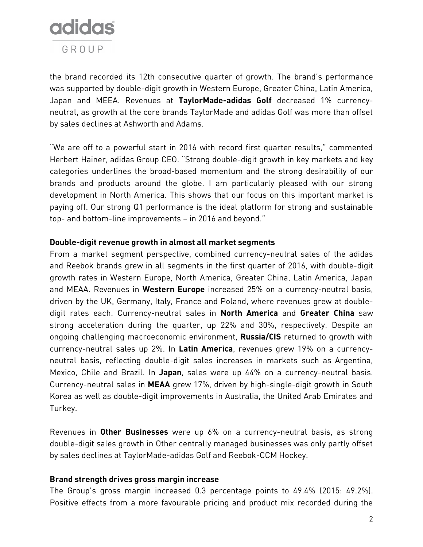

the brand recorded its 12th consecutive quarter of growth. The brand's performance was supported by double-digit growth in Western Europe, Greater China, Latin America, Japan and MEEA. Revenues at **TaylorMade-adidas Golf** decreased 1% currencyneutral, as growth at the core brands TaylorMade and adidas Golf was more than offset by sales declines at Ashworth and Adams.

"We are off to a powerful start in 2016 with record first quarter results," commented Herbert Hainer, adidas Group CEO. "Strong double-digit growth in key markets and key categories underlines the broad-based momentum and the strong desirability of our brands and products around the globe. I am particularly pleased with our strong development in North America. This shows that our focus on this important market is paying off. Our strong Q1 performance is the ideal platform for strong and sustainable top- and bottom-line improvements – in 2016 and beyond."

### **Double-digit revenue growth in almost all market segments**

From a market segment perspective, combined currency-neutral sales of the adidas and Reebok brands grew in all segments in the first quarter of 2016, with double-digit growth rates in Western Europe, North America, Greater China, Latin America, Japan and MEAA. Revenues in **Western Europe** increased 25% on a currency-neutral basis, driven by the UK, Germany, Italy, France and Poland, where revenues grew at doubledigit rates each. Currency-neutral sales in **North America** and **Greater China** saw strong acceleration during the quarter, up 22% and 30%, respectively. Despite an ongoing challenging macroeconomic environment, **Russia/CIS** returned to growth with currency-neutral sales up 2%. In **Latin America**, revenues grew 19% on a currencyneutral basis, reflecting double-digit sales increases in markets such as Argentina, Mexico, Chile and Brazil. In **Japan**, sales were up 44% on a currency-neutral basis. Currency-neutral sales in **MEAA** grew 17%, driven by high-single-digit growth in South Korea as well as double-digit improvements in Australia, the United Arab Emirates and Turkey.

Revenues in **Other Businesses** were up 6% on a currency-neutral basis, as strong double-digit sales growth in Other centrally managed businesses was only partly offset by sales declines at TaylorMade-adidas Golf and Reebok-CCM Hockey.

#### **Brand strength drives gross margin increase**

The Group's gross margin increased 0.3 percentage points to 49.4% (2015: 49.2%). Positive effects from a more favourable pricing and product mix recorded during the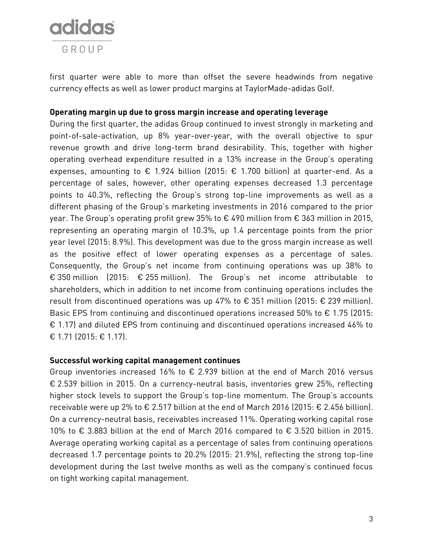

first quarter were able to more than offset the severe headwinds from negative currency effects as well as lower product margins at TaylorMade-adidas Golf.

### **Operating margin up due to gross margin increase and operating leverage**

During the first quarter, the adidas Group continued to invest strongly in marketing and point-of-sale-activation, up 8% year-over-year, with the overall objective to spur revenue growth and drive long-term brand desirability. This, together with higher operating overhead expenditure resulted in a 13% increase in the Group's operating expenses, amounting to  $\epsilon$  1.924 billion (2015:  $\epsilon$  1.700 billion) at quarter-end. As a percentage of sales, however, other operating expenses decreased 1.3 percentage points to 40.3%, reflecting the Group's strong top-line improvements as well as a different phasing of the Group's marketing investments in 2016 compared to the prior year. The Group's operating profit grew 35% to € 490 million from € 363 million in 2015, representing an operating margin of 10.3%, up 1.4 percentage points from the prior year level (2015: 8.9%). This development was due to the gross margin increase as well as the positive effect of lower operating expenses as a percentage of sales. Consequently, the Group's net income from continuing operations was up 38% to € 350 million (2015: € 255 million). The Group's net income attributable to shareholders, which in addition to net income from continuing operations includes the result from discontinued operations was up 47% to  $\epsilon$  351 million (2015:  $\epsilon$  239 million). Basic EPS from continuing and discontinued operations increased 50% to  $\epsilon$  1.75 (2015: € 1.17) and diluted EPS from continuing and discontinued operations increased 46% to € 1.71 (2015: € 1.17).

#### **Successful working capital management continues**

Group inventories increased 16% to € 2.939 billion at the end of March 2016 versus € 2.539 billion in 2015. On a currency-neutral basis, inventories grew 25%, reflecting higher stock levels to support the Group's top-line momentum. The Group's accounts receivable were up 2% to € 2.517 billion at the end of March 2016 (2015: € 2.456 billion). On a currency-neutral basis, receivables increased 11%. Operating working capital rose 10% to € 3.883 billion at the end of March 2016 compared to € 3.520 billion in 2015. Average operating working capital as a percentage of sales from continuing operations decreased 1.7 percentage points to 20.2% (2015: 21.9%), reflecting the strong top-line development during the last twelve months as well as the company's continued focus on tight working capital management.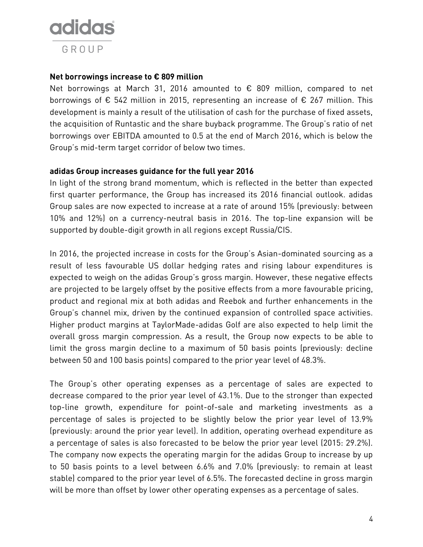

#### **Net borrowings increase to € 809 million**

Net borrowings at March 31, 2016 amounted to € 809 million, compared to net borrowings of  $\epsilon$  542 million in 2015, representing an increase of  $\epsilon$  267 million. This development is mainly a result of the utilisation of cash for the purchase of fixed assets, the acquisition of Runtastic and the share buyback programme. The Group's ratio of net borrowings over EBITDA amounted to 0.5 at the end of March 2016, which is below the Group's mid-term target corridor of below two times.

### **adidas Group increases guidance for the full year 2016**

In light of the strong brand momentum, which is reflected in the better than expected first quarter performance, the Group has increased its 2016 financial outlook. adidas Group sales are now expected to increase at a rate of around 15% (previously: between 10% and 12%) on a currency-neutral basis in 2016. The top-line expansion will be supported by double-digit growth in all regions except Russia/CIS.

In 2016, the projected increase in costs for the Group's Asian-dominated sourcing as a result of less favourable US dollar hedging rates and rising labour expenditures is expected to weigh on the adidas Group's gross margin. However, these negative effects are projected to be largely offset by the positive effects from a more favourable pricing, product and regional mix at both adidas and Reebok and further enhancements in the Group's channel mix, driven by the continued expansion of controlled space activities. Higher product margins at TaylorMade-adidas Golf are also expected to help limit the overall gross margin compression. As a result, the Group now expects to be able to limit the gross margin decline to a maximum of 50 basis points (previously: decline between 50 and 100 basis points) compared to the prior year level of 48.3%.

The Group's other operating expenses as a percentage of sales are expected to decrease compared to the prior year level of 43.1%. Due to the stronger than expected top-line growth, expenditure for point-of-sale and marketing investments as a percentage of sales is projected to be slightly below the prior year level of 13.9% (previously: around the prior year level). In addition, operating overhead expenditure as a percentage of sales is also forecasted to be below the prior year level (2015: 29.2%). The company now expects the operating margin for the adidas Group to increase by up to 50 basis points to a level between 6.6% and 7.0% (previously: to remain at least stable) compared to the prior year level of 6.5%. The forecasted decline in gross margin will be more than offset by lower other operating expenses as a percentage of sales.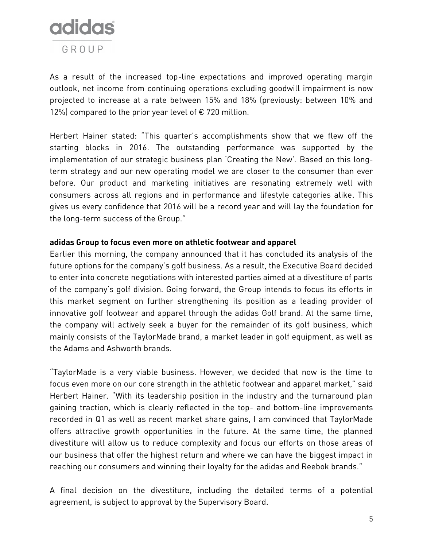

As a result of the increased top-line expectations and improved operating margin outlook, net income from continuing operations excluding goodwill impairment is now projected to increase at a rate between 15% and 18% (previously: between 10% and 12%) compared to the prior year level of  $\epsilon$  720 million.

Herbert Hainer stated: "This quarter's accomplishments show that we flew off the starting blocks in 2016. The outstanding performance was supported by the implementation of our strategic business plan 'Creating the New'. Based on this longterm strategy and our new operating model we are closer to the consumer than ever before. Our product and marketing initiatives are resonating extremely well with consumers across all regions and in performance and lifestyle categories alike. This gives us every confidence that 2016 will be a record year and will lay the foundation for the long-term success of the Group."

### **adidas Group to focus even more on athletic footwear and apparel**

Earlier this morning, the company announced that it has concluded its analysis of the future options for the company's golf business. As a result, the Executive Board decided to enter into concrete negotiations with interested parties aimed at a divestiture of parts of the company's golf division. Going forward, the Group intends to focus its efforts in this market segment on further strengthening its position as a leading provider of innovative golf footwear and apparel through the adidas Golf brand. At the same time, the company will actively seek a buyer for the remainder of its golf business, which mainly consists of the TaylorMade brand, a market leader in golf equipment, as well as the Adams and Ashworth brands.

"TaylorMade is a very viable business. However, we decided that now is the time to focus even more on our core strength in the athletic footwear and apparel market," said Herbert Hainer. "With its leadership position in the industry and the turnaround plan gaining traction, which is clearly reflected in the top- and bottom-line improvements recorded in Q1 as well as recent market share gains, I am convinced that TaylorMade offers attractive growth opportunities in the future. At the same time, the planned divestiture will allow us to reduce complexity and focus our efforts on those areas of our business that offer the highest return and where we can have the biggest impact in reaching our consumers and winning their loyalty for the adidas and Reebok brands."

A final decision on the divestiture, including the detailed terms of a potential agreement, is subject to approval by the Supervisory Board.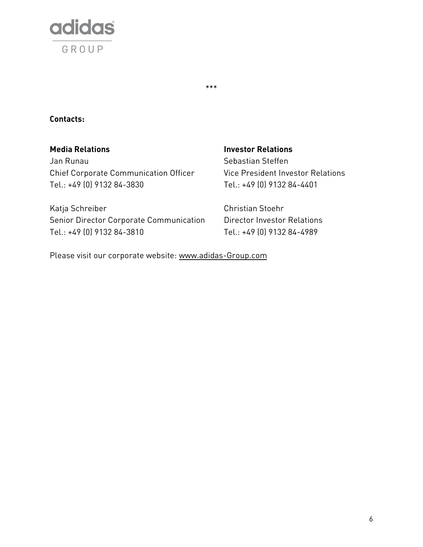

## **Contacts:**

**Media Relations Investor Relations** Jan Runau National Sebastian Steffen Chief Corporate Communication Officer Vice President Investor Relations Tel.: +49 (0) 9132 84-3830 Tel.: +49 (0) 9132 84-4401

\*\*\*

Katja Schreiber Christian Stoehr Senior Director Corporate Communication Director Investor Relations Tel.: +49 (0) 9132 84-3810 Tel.: +49 (0) 9132 84-4989

Please visit our corporate website: [www.adidas-Group.com](http://www.adidas-group.com/)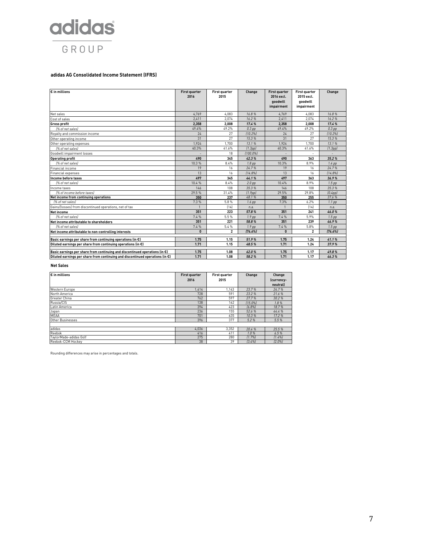

#### **adidas AG Consolidated Income Statement (IFRS)**

| € in millions                                                                           | <b>First quarter</b><br>2016 | First quarter<br>2015 | Change               | <b>First quarter</b><br>2016 excl.<br>goodwill<br>impairment | <b>First quarter</b><br>2015 excl.<br>goodwill<br>impairment | Change            |
|-----------------------------------------------------------------------------------------|------------------------------|-----------------------|----------------------|--------------------------------------------------------------|--------------------------------------------------------------|-------------------|
| Net sales                                                                               | 4.769                        | 4.083                 | 16.8%                | 4.769                                                        | 4.083                                                        | 16.8%             |
| Cost of sales                                                                           | 2.411                        | 2.074                 | 16.2%                | 2.411                                                        | 2.074                                                        | 16.2%             |
| <b>Gross profit</b>                                                                     | 2.358                        | 2.008                 | 17.4%                | 2,358                                                        | 2.008                                                        | 17.4%             |
| [% of net sales]                                                                        | 49.4%                        | 49.2%                 | $0.3$ pp             | 49.4%                                                        | 49.2%                                                        | $0.3$ pp          |
| Royalty and commission income                                                           | 24                           | 27                    | [10.2%]              | 24                                                           | 27                                                           | [10.2%]           |
| Other operating income                                                                  | 31                           | 27                    | 15.3%                | 31                                                           | 27                                                           | 15.3%             |
| Other operating expenses                                                                | 1.924                        | 1.700                 | 13.1%                | 1.924                                                        | 1.700                                                        | 13.1%             |
| 1% of net sales)                                                                        | 40.3%                        | 41.6%                 | (1.3pp)              | 40.3%                                                        | 41.6%                                                        | (1.3pp)           |
| Goodwill impairment losses                                                              |                              | 18                    | $(100.0\%)$          |                                                              |                                                              |                   |
| <b>Operating profit</b>                                                                 | 490                          | 345                   | 42.3%                | 490                                                          | 363                                                          | 35.2%             |
| [% of net sales]                                                                        | 10.3%                        | 8.4%                  | 1.8 <sub>pp</sub>    | 10.3%                                                        | 8.9%                                                         | $1.4$ pp          |
| Financial income                                                                        | 19                           | 16                    | 24.7%                | 19                                                           | 16                                                           | 24.7%             |
| Financial expenses                                                                      | 13                           | 16                    | [14.8%]              | 13                                                           | 16                                                           | [14.8%]           |
| Income before taxes                                                                     | 497                          | 345                   | 44.1%                | 497                                                          | 363                                                          | 36.9%             |
| [% of net sales]                                                                        | 10.4%                        | 8.4%                  | 2.0 <sub>pp</sub>    | 10.4%                                                        | 8.9%                                                         | 1.5 <sub>pp</sub> |
| Income taxes                                                                            | 146                          | 108                   | 35.3%                | 146                                                          | 108                                                          | 35.3%             |
| [% of income before taxes]                                                              | 29.5%                        | 31.4%                 | (1.9 <sub>pp</sub> ) | 29.5%                                                        | 29.8%                                                        | [0.4pp]           |
| Net income from continuing operations                                                   | 350                          | 237                   | 48.1%                | 350                                                          | 255                                                          | 37.6 %            |
| l% of net sales)                                                                        | 7.3%                         | 5.8%                  | $1.6$ pp             | 7.3%                                                         | 6.2%                                                         | $1.1$ pp          |
| Gains/(losses) from discontinued operations, net of tax                                 |                              | [14]                  | n.a.                 |                                                              | [14]                                                         | n.a.              |
| <b>Net income</b>                                                                       | 351                          | 223                   | 57.8%                | 351                                                          | 241                                                          | 46.0%             |
| 1% of net sales)                                                                        | 7.4%                         | 5.5%                  | 1.9 <sub>pp</sub>    | 7.4%                                                         | 5.9%                                                         | 1.5 <sub>pp</sub> |
| Net income attributable to shareholders                                                 | 351                          | 221                   | 58.8%                | 351                                                          | 239                                                          | 46.9%             |
| (% of net sales)                                                                        | 7.4%                         | 5.4%                  | 1.9 <sub>pp</sub>    | 7.4%                                                         | 5.8%                                                         | 1.5 <sub>pp</sub> |
| Net income attributable to non-controlling interests                                    | 0                            | $\overline{2}$        | [76.6%]              | 0                                                            | 2                                                            | [76.6%]           |
| Basic earnings per share from continuing operations (in $\epsilon$ )                    | 1.75                         | 1.15                  | 51.9%                | 1.75                                                         | 1.24                                                         | 41.1%             |
| Diluted earnings per share from continuing operations (in $\epsilon$ )                  | 1.71                         | 1.15                  | 48.5%                | 1.71                                                         | 1.24                                                         | 37.9%             |
| Basic earnings per share from continuing and discontinued operations (in $\epsilon$ )   | 1.75                         | 1.08                  | 62.0%                | 1.75                                                         | 1.17                                                         | 49.8%             |
| Diluted earnings per share from continuing and discontinued operations (in $\epsilon$ ) | 1.71                         | 1.08                  | 58.2%                | 1.71                                                         | 1.17                                                         | 46.3%             |

#### **Net Sales**

| $\varepsilon$ in millions | <b>First quarter</b> | First quarter | Change  | Change     |
|---------------------------|----------------------|---------------|---------|------------|
|                           | 2016                 | 2015          |         | (currency- |
|                           |                      |               |         | neutral)   |
| Western Europe            | 1,414                | .143          | 23.7%   | 24.7%      |
| North America             | 728                  | 591           | 23.2 %  | 21.6%      |
| Greater China             | 762                  | 597           | 27.7 %  | 30.2%      |
| Russia/CIS                | 138                  | 162           | [15.0%] | 1.8%       |
| Latin America             | 394                  | 423           | [6.8%]  | 18.7%      |
| Japan                     | 236                  | 155           | 52.6 %  | 44.4%      |
| <b>MEAA</b>               | 701                  | 635           | 10.3%   | 17.2%      |
| <b>Other Businesses</b>   | 396                  | 377           | 5.2%    | 5.5%       |
|                           |                      |               |         |            |
| adidas                    | 4.036                | 3.352         | 20.4%   | 25.5%      |
| Reebok                    | 416                  | 411           | 1.0%    | 6.5%       |
| TaylorMade-adidas Golf    | 275                  | 280           | [1.7%]  | (1.4%      |
| Reebok-CCM Hockey         | 38                   | 39            | [3.4%]  | [2.0%]     |

Rounding differences may arise in percentages and totals.